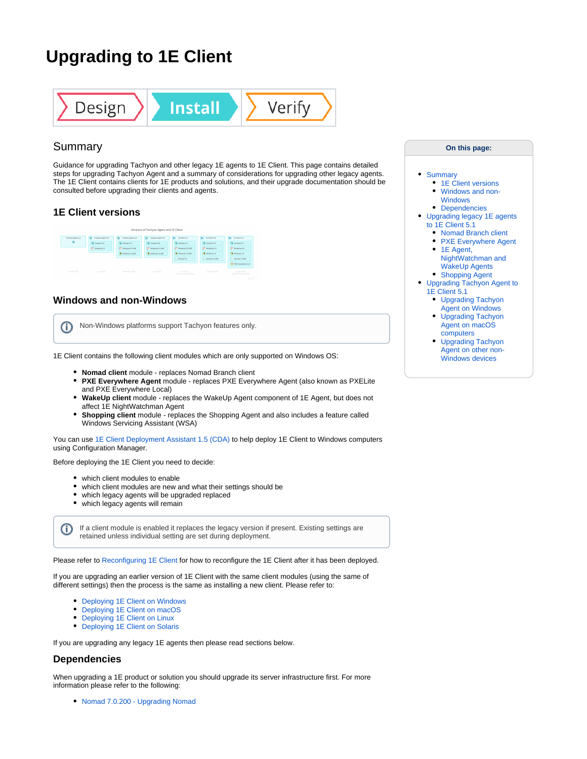# **Upgrading to 1E Client**



## <span id="page-0-0"></span>Summary

Guidance for upgrading Tachyon and other legacy 1E agents to 1E Client. This page contains detailed steps for upgrading Tachyon Agent and a summary of considerations for upgrading other legacy agents. The 1E Client contains clients for 1E products and solutions, and their upgrade documentation should be consulted before upgrading their clients and agents.

#### <span id="page-0-1"></span>**1E Client versions**

|                        |                                                |                                                | Versions of Tachyon Agent and 1E Client        |                                                                   |                                                              |                                                                                       |
|------------------------|------------------------------------------------|------------------------------------------------|------------------------------------------------|-------------------------------------------------------------------|--------------------------------------------------------------|---------------------------------------------------------------------------------------|
| Tochyan Agent 3.1<br>۰ | a<br>Tachyen Agent 3.2<br><b>C</b> Tashpon 3.2 | $\bullet$<br>Technon Agent 3.3<br>G Tadwas 3.3 | n<br>Technon Appet 4.0<br><b>G</b> Tailyee &D  | da.<br>If Clest 4.1<br><b>Ca</b> Tashway 6.1                      | 61<br>IE Clere S.D.<br>G Tadwas 5.0                          | ds<br>If Client 5.1<br><b>C</b> Tailyon S.1                                           |
|                        | C Shopping S.S.                                | C Shopping 5.5.100<br><b>@</b> Walespy 7.2.500 | P Shopping \$ 5.100<br><b>@</b> WakeUp 7.2.500 | C Shopping 5,5,200<br><b>@ Walesta 7.2.500*</b><br>Co. Normal 7.0 | C Shopping 5.6<br><b>O</b> Walesty 7.3<br>C., Normad 7.0,100 | C Shopping 6.0<br><b>O</b> Waketta 7.3*<br>C., Nomed 7.0.200                          |
| October 2017           | Aide 2018                                      | Newerker 2018                                  | And 2029                                       | A-69 2019<br>Findades client hetforn                              | February 2022                                                | 0.5 postporent 20% 45<br>Lopust 2020<br>*Indudes client battlees<br><b>STATISTICS</b> |

#### <span id="page-0-2"></span>**Windows and non-Windows**

Non-Windows platforms support Tachyon features only. ത

1E Client contains the following client modules which are only supported on Windows OS:

- **Nomad client** module replaces Nomad Branch client
- **PXE Everywhere Agent** module replaces PXE Everywhere Agent (also known as PXELite and PXE Everywhere Local)
- **WakeUp client** module replaces the WakeUp Agent component of 1E Agent, but does not affect 1E NightWatchman Agent
- **Shopping client** module replaces the Shopping Agent and also includes a feature called Windows Servicing Assistant (WSA)

You can use [1E Client Deployment Assistant 1.5 \(CDA\)](https://help.1e.com/display/CDA15/Welcome) to help deploy 1E Client to Windows computers using Configuration Manager.

Before deploying the 1E Client you need to decide:

- which client modules to enable
- which client modules are new and what their settings should be
- which legacy agents will be upgraded replaced
- which legacy agents will remain

If a client module is enabled it replaces the legacy version if present. Existing settings are retained unless individual setting are set during deployment.

Please refer to [Reconfiguring 1E Client](https://help.1e.com/display/1EC51/Reconfiguring+1E+Client) for how to reconfigure the 1E Client after it has been deployed.

If you are upgrading an earlier version of 1E Client with the same client modules (using the same of different settings) then the process is the same as installing a new client. Please refer to:

- [Deploying 1E Client on Windows](https://help.1e.com/display/1EC51/Deploying+1E+Client+on+Windows)
- [Deploying 1E Client on macOS](https://help.1e.com/display/1EC51/Deploying+1E+Client+on+macOS)
- [Deploying 1E Client on Linux](https://help.1e.com/display/1EC51/Deploying+1E+Client+on+Linux)
- [Deploying 1E Client on Solaris](https://help.1e.com/display/1EC51/Deploying+1E+Client+on+Solaris)

If you are upgrading any legacy 1E agents then please read sections below.

#### <span id="page-0-3"></span>**Dependencies**

 $\circ$ 

When upgrading a 1E product or solution you should upgrade its server infrastructure first. For more information please refer to the following:

[Nomad 7.0.200 - Upgrading Nomad](https://help.1e.com/display/NMD702/Upgrading+Nomad)

#### **On this page:**

#### • [Summary](#page-0-0)

- [1E Client versions](#page-0-1)
- [Windows and non-](#page-0-2)[Windows](#page-0-2)
- [Dependencies](#page-0-3)
- [Upgrading legacy 1E agents](#page-1-0)  [to 1E Client 5.1](#page-1-0)
	- [Nomad Branch client](#page-1-1)
	- [PXE Everywhere Agent](#page-1-2)
	- 1E Agent, [NightWatchman and](#page-1-3)  [WakeUp Agents](#page-1-3)
	- [Shopping Agent](#page-2-0) [Upgrading Tachyon Agent to](#page-2-1)  [1E Client 5.1](#page-2-1)
		- [Upgrading Tachyon](#page-2-2)  [Agent on Windows](#page-2-2)
		- Upgrading Tachyon [Agent on macOS](#page-3-0)  [computers](#page-3-0)
		- [Upgrading Tachyon](#page-3-1)  [Agent on other non-](#page-3-1)[Windows devices](#page-3-1)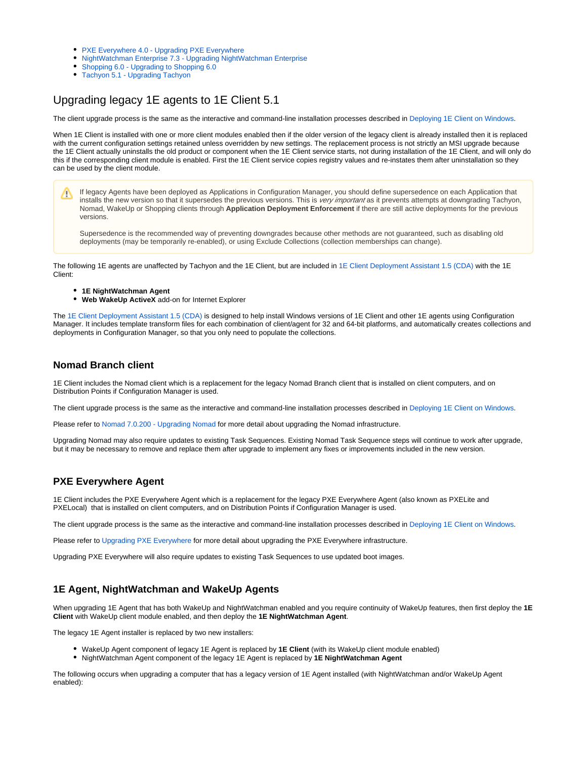- [PXE Everywhere 4.0 Upgrading PXE Everywhere](https://help.1e.com/display/PXE40/Upgrading+PXE+Everywhere)
- [NightWatchman Enterprise 7.3 Upgrading NightWatchman Enterprise](https://help.1e.com/display/NWE73/Upgrading+NightWatchman+Enterprise)
- [Shopping 6.0 Upgrading to Shopping 6.0](https://help.1e.com/display/SHP60/Upgrading+to+Shopping+6.0)
- [Tachyon 5.1 Upgrading Tachyon](https://help.1e.com/display/TCN51/Upgrading+Tachyon)

# <span id="page-1-0"></span>Upgrading legacy 1E agents to 1E Client 5.1

The client upgrade process is the same as the interactive and command-line installation processes described in [Deploying 1E Client on Windows](https://help.1e.com/display/1EC51/Deploying+1E+Client+on+Windows).

When 1E Client is installed with one or more client modules enabled then if the older version of the legacy client is already installed then it is replaced with the current configuration settings retained unless overridden by new settings. The replacement process is not strictly an MSI upgrade because the 1E Client actually uninstalls the old product or component when the 1E Client service starts, not during installation of the 1E Client, and will only do this if the corresponding client module is enabled. First the 1E Client service copies registry values and re-instates them after uninstallation so they can be used by the client module.

If legacy Agents have been deployed as Applications in Configuration Manager, you should define supersedence on each Application that Δ installs the new version so that it supersedes the previous versions. This is very important as it prevents attempts at downgrading Tachyon, Nomad, WakeUp or Shopping clients through **Application Deployment Enforcement** if there are still active deployments for the previous versions.

Supersedence is the recommended way of preventing downgrades because other methods are not guaranteed, such as disabling old deployments (may be temporarily re-enabled), or using Exclude Collections (collection memberships can change).

The following 1E agents are unaffected by Tachyon and the 1E Client, but are included in [1E Client Deployment Assistant 1.5 \(CDA\)](https://help.1e.com/display/CDA15/Welcome) with the 1E Client:

- **1E NightWatchman Agent**
- **Web WakeUp ActiveX** add-on for Internet Explorer

The [1E Client Deployment Assistant 1.5 \(CDA\)](https://help.1e.com/display/CDA15/Welcome) is designed to help install Windows versions of 1E Client and other 1E agents using Configuration Manager. It includes template transform files for each combination of client/agent for 32 and 64-bit platforms, and automatically creates collections and deployments in Configuration Manager, so that you only need to populate the collections.

#### <span id="page-1-1"></span>**Nomad Branch client**

1E Client includes the Nomad client which is a replacement for the legacy Nomad Branch client that is installed on client computers, and on Distribution Points if Configuration Manager is used.

The client upgrade process is the same as the interactive and command-line installation processes described in [Deploying 1E Client on Windows](https://help.1e.com/display/1EC51/Deploying+1E+Client+on+Windows).

Please refer to [Nomad 7.0.200 - Upgrading Nomad](https://help.1e.com/display/NMD702/Upgrading+Nomad) for more detail about upgrading the Nomad infrastructure.

Upgrading Nomad may also require updates to existing Task Sequences. Existing Nomad Task Sequence steps will continue to work after upgrade, but it may be necessary to remove and replace them after upgrade to implement any fixes or improvements included in the new version.

#### <span id="page-1-2"></span>**PXE Everywhere Agent**

1E Client includes the PXE Everywhere Agent which is a replacement for the legacy PXE Everywhere Agent (also known as PXELite and PXELocal) that is installed on client computers, and on Distribution Points if Configuration Manager is used.

The client upgrade process is the same as the interactive and command-line installation processes described in [Deploying 1E Client on Windows](https://help.1e.com/display/1EC51/Deploying+1E+Client+on+Windows).

Please refer to [Upgrading PXE Everywhere](https://help.1e.com/display/PXE40/Upgrading+PXE+Everywhere) for more detail about upgrading the PXE Everywhere infrastructure.

Upgrading PXE Everywhere will also require updates to existing Task Sequences to use updated boot images.

#### <span id="page-1-3"></span>**1E Agent, NightWatchman and WakeUp Agents**

When upgrading 1E Agent that has both WakeUp and NightWatchman enabled and you require continuity of WakeUp features, then first deploy the **1E Client** with WakeUp client module enabled, and then deploy the **1E NightWatchman Agent**.

The legacy 1E Agent installer is replaced by two new installers:

- WakeUp Agent component of legacy 1E Agent is replaced by **1E Client** (with its WakeUp client module enabled)
- NightWatchman Agent component of the legacy 1E Agent is replaced by **1E NightWatchman Agent**

The following occurs when upgrading a computer that has a legacy version of 1E Agent installed (with NightWatchman and/or WakeUp Agent enabled):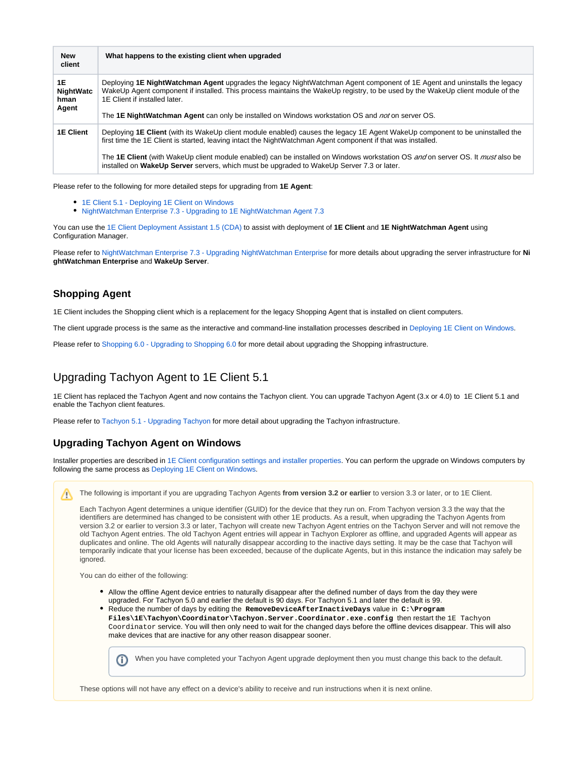| <b>New</b><br>client                    | What happens to the existing client when upgraded                                                                                                                                                                                                                                                                                                                                                                                                                            |
|-----------------------------------------|------------------------------------------------------------------------------------------------------------------------------------------------------------------------------------------------------------------------------------------------------------------------------------------------------------------------------------------------------------------------------------------------------------------------------------------------------------------------------|
| 1E<br><b>NightWatc</b><br>hman<br>Agent | Deploying 1E NightWatchman Agent upgrades the legacy NightWatchman Agent component of 1E Agent and uninstalls the legacy<br>WakeUp Agent component if installed. This process maintains the WakeUp registry, to be used by the WakeUp client module of the<br>1E Client if installed later.<br>The 1E NightWatchman Agent can only be installed on Windows workstation OS and not on server OS.                                                                              |
| <b>1E Client</b>                        | Deploying 1E Client (with its WakeUp client module enabled) causes the legacy 1E Agent WakeUp component to be uninstalled the<br>first time the 1E Client is started, leaving intact the NightWatchman Agent component if that was installed.<br>The 1E Client (with WakeUp client module enabled) can be installed on Windows workstation OS and on server OS. It must also be<br>installed on WakeUp Server servers, which must be upgraded to WakeUp Server 7.3 or later. |

Please refer to the following for more detailed steps for upgrading from **1E Agent**:

- [1E Client 5.1 Deploying 1E Client on Windows](https://help.1e.com/display/1EC51/Deploying+1E+Client+on+Windows)
- [NightWatchman Enterprise 7.3 Upgrading to 1E NightWatchman Agent 7.3](https://help.1e.com/display/NWE73/Upgrading+to+1E+NightWatchman+Agent+7.3)

You can use the [1E Client Deployment Assistant 1.5 \(CDA\)](https://help.1e.com/display/CDA15/Welcome) to assist with deployment of **1E Client** and **1E NightWatchman Agent** using Configuration Manager.

Please refer to [NightWatchman Enterprise 7.3 - Upgrading NightWatchman Enterprise](https://help.1e.com/display/NWE73/Upgrading+NightWatchman+Enterprise) for more details about upgrading the server infrastructure for **Ni ghtWatchman Enterprise** and **WakeUp Server**.

#### <span id="page-2-0"></span>**Shopping Agent**

1E Client includes the Shopping client which is a replacement for the legacy Shopping Agent that is installed on client computers.

The client upgrade process is the same as the interactive and command-line installation processes described in [Deploying 1E Client on Windows](https://help.1e.com/display/1EC51/Deploying+1E+Client+on+Windows).

Please refer to [Shopping 6.0 - Upgrading to Shopping 6.0](https://help.1e.com/display/SHP60/Upgrading+to+Shopping+6.0) for more detail about upgrading the Shopping infrastructure.

## <span id="page-2-1"></span>Upgrading Tachyon Agent to 1E Client 5.1

1E Client has replaced the Tachyon Agent and now contains the Tachyon client. You can upgrade Tachyon Agent (3.x or 4.0) to 1E Client 5.1 and enable the Tachyon client features.

Please refer to [Tachyon 5.1 - Upgrading Tachyon](https://help.1e.com/display/TCN51/Upgrading+Tachyon) for more detail about upgrading the Tachyon infrastructure.

#### <span id="page-2-2"></span>**Upgrading Tachyon Agent on Windows**

Installer properties are described in [1E Client configuration settings and installer properties](https://help.1e.com/display/1EC51/1E+Client+configuration+settings+and+installer+properties). You can perform the upgrade on Windows computers by following the same process as [Deploying 1E Client on Windows.](https://help.1e.com/display/1EC51/Deploying+1E+Client+on+Windows)

The following is important if you are upgrading Tachyon Agents **from version 3.2 or earlier** to version 3.3 or later, or to 1E Client. Λ

Each Tachyon Agent determines a unique identifier (GUID) for the device that they run on. From Tachyon version 3.3 the way that the identifiers are determined has changed to be consistent with other 1E products. As a result, when upgrading the Tachyon Agents from version 3.2 or earlier to version 3.3 or later, Tachyon will create new Tachyon Agent entries on the Tachyon Server and will not remove the old Tachyon Agent entries. The old Tachyon Agent entries will appear in Tachyon Explorer as offline, and upgraded Agents will appear as duplicates and online. The old Agents will naturally disappear according to the inactive days setting. It may be the case that Tachyon will temporarily indicate that your license has been exceeded, because of the duplicate Agents, but in this instance the indication may safely be ignored.

You can do either of the following:

- Allow the offline Agent device entries to naturally disappear after the defined number of days from the day they were upgraded. For Tachyon 5.0 and earlier the default is 90 days. For Tachyon 5.1 and later the default is 99.
- Reduce the number of days by editing the **RemoveDeviceAfterInactiveDays** value in **C:\Program Files\1E\Tachyon\Coordinator\Tachyon.Server.Coordinator.exe.config** then restart the 1E Tachyon Coordinator service. You will then only need to wait for the changed days before the offline devices disappear. This will also make devices that are inactive for any other reason disappear sooner.



When you have completed your Tachyon Agent upgrade deployment then you must change this back to the default.

These options will not have any effect on a device's ability to receive and run instructions when it is next online.